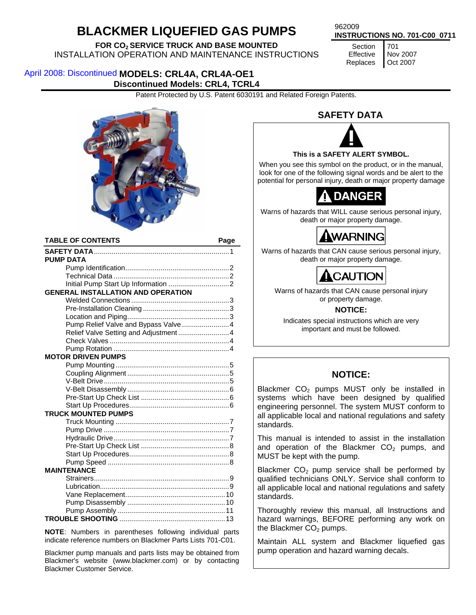# **BLACKMER LIQUEFIED GAS PUMPS** 962009

# **FOR CO2 SERVICE TRUCK AND BASE MOUNTED**

INSTALLATION OPERATION AND MAINTENANCE INSTRUCTIONS

**INSTRUCTIONS NO. 701-C00\_0711**

**Section** Effective Replaces 701 Nov 2007 Oct 2007

## April 2008: Discontinued MODELS: CRL4A, CRL4A-OE1 **Discontinued Models: CRL4, TCRL4**

Patent Protected by U.S. Patent 6030191 and Related Foreign Patents.



| <b>TABLE OF CONTENTS</b>                  | Page |
|-------------------------------------------|------|
|                                           |      |
| <b>PUMP DATA</b>                          |      |
|                                           |      |
|                                           |      |
|                                           |      |
| <b>GENERAL INSTALLATION AND OPERATION</b> |      |
|                                           |      |
|                                           |      |
|                                           |      |
| Pump Relief Valve and Bypass Valve 4      |      |
| Relief Valve Setting and Adjustment 4     |      |
|                                           |      |
|                                           |      |
| <b>MOTOR DRIVEN PUMPS</b>                 |      |
|                                           |      |
|                                           |      |
|                                           |      |
|                                           |      |
|                                           |      |
|                                           |      |
| <b>TRUCK MOUNTED PUMPS</b>                |      |
|                                           |      |
|                                           |      |
|                                           |      |
|                                           |      |
|                                           |      |
|                                           |      |
| <b>MAINTENANCE</b>                        |      |
|                                           |      |
|                                           |      |
|                                           |      |
|                                           |      |
|                                           |      |
|                                           |      |

**NOTE**: Numbers in parentheses following individual parts indicate reference numbers on Blackmer Parts Lists 701-C01.

Blackmer pump manuals and parts lists may be obtained from Blackmer's website (www.blackmer.com) or by contacting Blackmer Customer Service.

## **SAFETY DATA**



### **This is a SAFETY ALERT SYMBOL.**

When you see this symbol on the product, or in the manual, look for one of the following signal words and be alert to the potential for personal injury, death or major property damage



Warns of hazards that WILL cause serious personal injury, death or major property damage.

WARNING

Warns of hazards that CAN cause serious personal injury, death or major property damage.



Warns of hazards that CAN cause personal injury or property damage.

### **NOTICE:**

Indicates special instructions which are very important and must be followed.

## **NOTICE:**

Blackmer  $CO<sub>2</sub>$  pumps MUST only be installed in systems which have been designed by qualified engineering personnel. The system MUST conform to all applicable local and national regulations and safety standards.

This manual is intended to assist in the installation and operation of the Blackmer  $CO<sub>2</sub>$  pumps, and MUST be kept with the pump.

Blackmer  $CO<sub>2</sub>$  pump service shall be performed by qualified technicians ONLY. Service shall conform to all applicable local and national regulations and safety standards.

Thoroughly review this manual, all Instructions and hazard warnings, BEFORE performing any work on the Blackmer  $CO<sub>2</sub>$  pumps.

Maintain ALL system and Blackmer liquefied gas pump operation and hazard warning decals.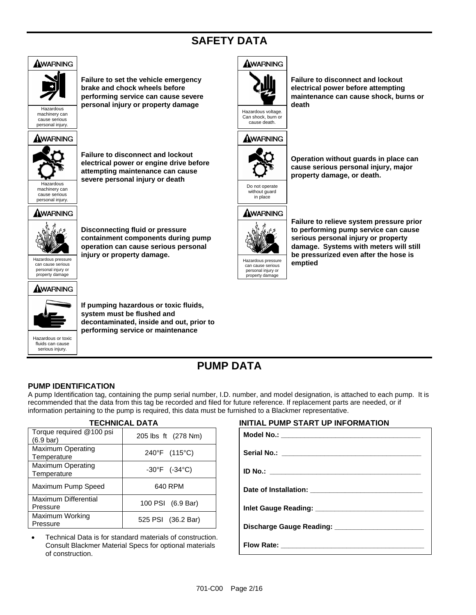## **SAFETY DATA**



## **PUMP DATA**

### **PUMP IDENTIFICATION**

A pump Identification tag, containing the pump serial number, I.D. number, and model designation, is attached to each pump. It is recommended that the data from this tag be recorded and filed for future reference. If replacement parts are needed, or if information pertaining to the pump is required, this data must be furnished to a Blackmer representative.

| <b>TECHNICAL DATA</b>                   |                                    |  |
|-----------------------------------------|------------------------------------|--|
| Torque required @100 psi<br>(6.9 bar)   | 205 lbs ft (278 Nm)                |  |
| <b>Maximum Operating</b><br>Temperature | 240°F (115°C)                      |  |
| <b>Maximum Operating</b><br>Temperature | $-30^{\circ}$ F (-34 $^{\circ}$ C) |  |
| Maximum Pump Speed                      | 640 RPM                            |  |
| Maximum Differential<br>Pressure        | 100 PSI (6.9 Bar)                  |  |
| Maximum Working<br>Pressure             | 525 PSI (36.2 Bar)                 |  |

• Technical Data is for standard materials of construction. Consult Blackmer Material Specs for optional materials of construction.

### **INITIAL PUMP START UP INFORMATION**

| Model No.: __________________________________ |
|-----------------------------------------------|
|                                               |
|                                               |
|                                               |
|                                               |
|                                               |
|                                               |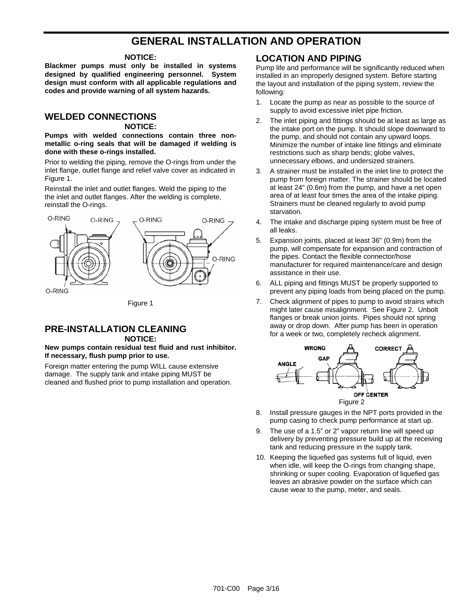## **GENERAL INSTALLATION AND OPERATION**

#### **NOTICE:**

**Blackmer pumps must only be installed in systems designed by qualified engineering personnel. System design must conform with all applicable regulations and codes and provide warning of all system hazards.** 

## **WELDED CONNECTIONS**

#### **NOTICE:**

**Pumps with welded connections contain three nonmetallic o-ring seals that will be damaged if welding is done with these o-rings installed.** 

Prior to welding the piping, remove the O-rings from under the inlet flange, outlet flange and relief valve cover as indicated in Figure 1.

Reinstall the inlet and outlet flanges. Weld the piping to the the inlet and outlet flanges. After the welding is complete, reinstall the O-rings.



## **PRE-INSTALLATION CLEANING**

#### **NOTICE:**

#### **New pumps contain residual test fluid and rust inhibitor. If necessary, flush pump prior to use.**

Foreign matter entering the pump WILL cause extensive damage. The supply tank and intake piping MUST be cleaned and flushed prior to pump installation and operation.

#### **LOCATION AND PIPING**

Pump life and performance will be significantly reduced when installed in an improperly designed system. Before starting the layout and installation of the piping system, review the following:

- 1. Locate the pump as near as possible to the source of supply to avoid excessive inlet pipe friction.
- 2. The inlet piping and fittings should be at least as large as the intake port on the pump. It should slope downward to the pump, and should not contain any upward loops. Minimize the number of intake line fittings and eliminate restrictions such as sharp bends; globe valves, unnecessary elbows, and undersized strainers.
- 3. A strainer must be installed in the inlet line to protect the pump from foreign matter. The strainer should be located at least 24" (0.6m) from the pump, and have a net open area of at least four times the area of the intake piping. Strainers must be cleaned regularly to avoid pump starvation.
- 4. The intake and discharge piping system must be free of all leaks.
- 5. Expansion joints, placed at least 36" (0.9m) from the pump, will compensate for expansion and contraction of the pipes. Contact the flexible connector/hose manufacturer for required maintenance/care and design assistance in their use.
- 6. ALL piping and fittings MUST be properly supported to prevent any piping loads from being placed on the pump.
- 7. Check alignment of pipes to pump to avoid strains which might later cause misalignment. See Figure 2. Unbolt flanges or break union joints. Pipes should not spring away or drop down. After pump has been in operation for a week or two, completely recheck alignment.



- Install pressure gauges in the NPT ports provided in the pump casing to check pump performance at start up.
- 9. The use of a 1.5" or 2" vapor return line will speed up delivery by preventing pressure build up at the receiving tank and reducing pressure in the supply tank.
- 10. Keeping the liquefied gas systems full of liquid, even when idle, will keep the O-rings from changing shape, shrinking or super cooling. Evaporation of liquefied gas leaves an abrasive powder on the surface which can cause wear to the pump, meter, and seals.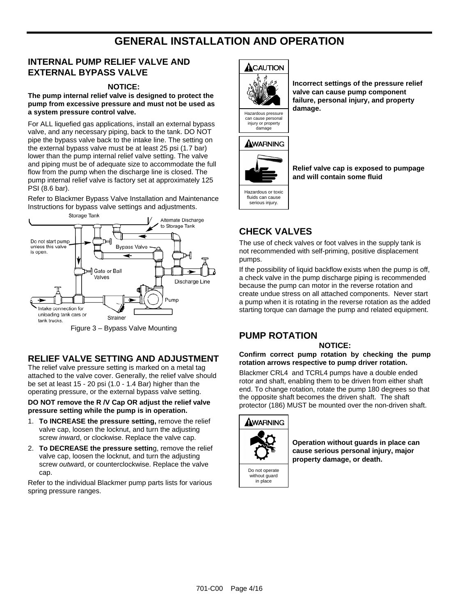## **GENERAL INSTALLATION AND OPERATION**

## **INTERNAL PUMP RELIEF VALVE AND EXTERNAL BYPASS VALVE**

#### **NOTICE:**

**The pump internal relief valve is designed to protect the pump from excessive pressure and must not be used as a system pressure control valve.** 

For ALL liquefied gas applications, install an external bypass valve, and any necessary piping, back to the tank. DO NOT pipe the bypass valve back to the intake line. The setting on the external bypass valve must be at least 25 psi (1.7 bar) lower than the pump internal relief valve setting. The valve and piping must be of adequate size to accommodate the full flow from the pump when the discharge line is closed. The pump internal relief valve is factory set at approximately 125 PSI (8.6 bar).

Refer to Blackmer Bypass Valve Installation and Maintenance Instructions for bypass valve settings and adjustments.



Figure 3 – Bypass Valve Mounting

## **RELIEF VALVE SETTING AND ADJUSTMENT**

The relief valve pressure setting is marked on a metal tag attached to the valve cover. Generally, the relief valve should be set at least 15 - 20 psi (1.0 - 1.4 Bar) higher than the operating pressure, or the external bypass valve setting.

#### **DO NOT remove the R /V Cap OR adjust the relief valve pressure setting while the pump is in operation.**

- 1. **To INCREASE the pressure setting,** remove the relief valve cap, loosen the locknut, and turn the adjusting screw *inwar*d, or clockwise. Replace the valve cap.
- 2. **To DECREASE the pressure settin**g, remove the relief valve cap, loosen the locknut, and turn the adjusting screw *outwar*d, or counterclockwise. Replace the valve cap.

Refer to the individual Blackmer pump parts lists for various spring pressure ranges.





**Incorrect settings of the pressure relief valve can cause pump component failure, personal injury, and property damage.** 



damage



**Relief valve cap is exposed to pumpage and will contain some fluid** 

Hazardous or toxic fluids can cause serious injury.

## **CHECK VALVES**

The use of check valves or foot valves in the supply tank is not recommended with self-priming, positive displacement pumps.

If the possibility of liquid backflow exists when the pump is off, a check valve in the pump discharge piping is recommended because the pump can motor in the reverse rotation and create undue stress on all attached components. Never start a pump when it is rotating in the reverse rotation as the added starting torque can damage the pump and related equipment.

## **PUMP ROTATION**

**NOTICE:** 

#### **Confirm correct pump rotation by checking the pump rotation arrows respective to pump driver rotation.**

Blackmer CRL4 and TCRL4 pumps have a double ended rotor and shaft, enabling them to be driven from either shaft end. To change rotation, rotate the pump 180 degrees so that the opposite shaft becomes the driven shaft. The shaft protector (186) MUST be mounted over the non-driven shaft.



**Operation without guards in place can cause serious personal injury, major property damage, or death.**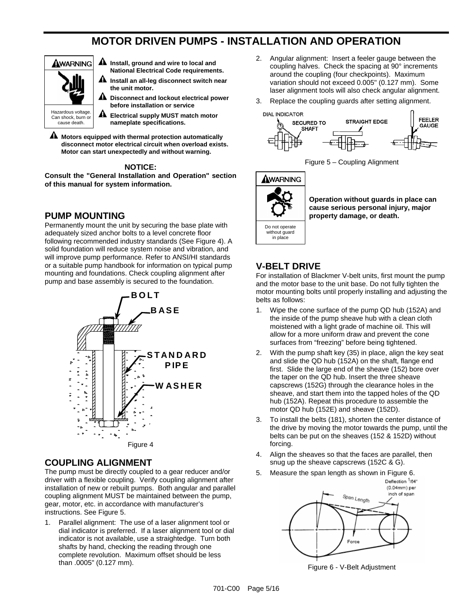# **MOTOR DRIVEN PUMPS - INSTALLATION AND OPERATION**



- **Install, ground and wire to local and National Electrical Code requirements.**
- **Install an all-leg disconnect switch near the unit motor.**
- **Disconnect and lockout electrical power before installation or service**
- $\blacktriangle$ **Electrical supply MUST match motor nameplate specifications.**

 **Motors equipped with thermal protection automatically disconnect motor electrical circuit when overload exists. Motor can start unexpectedly and without warning.** 

#### **NOTICE:**

**Consult the "General Installation and Operation" section of this manual for system information.** 

## **PUMP MOUNTING**

Permanently mount the unit by securing the base plate with adequately sized anchor bolts to a level concrete floor following recommended industry standards (See Figure 4). A solid foundation will reduce system noise and vibration, and will improve pump performance. Refer to ANSI/HI standards or a suitable pump handbook for information on typical pump mounting and foundations. Check coupling alignment after pump and base assembly is secured to the foundation.



### **COUPLING ALIGNMENT**

The pump must be directly coupled to a gear reducer and/or driver with a flexible coupling. Verify coupling alignment after installation of new or rebuilt pumps. Both angular and parallel coupling alignment MUST be maintained between the pump, gear, motor, etc. in accordance with manufacturer's instructions. See Figure 5.

1. Parallel alignment: The use of a laser alignment tool or dial indicator is preferred. If a laser alignment tool or dial indicator is not available, use a straightedge. Turn both shafts by hand, checking the reading through one complete revolution. Maximum offset should be less than .0005" (0.127 mm).

- 2. Angular alignment: Insert a feeler gauge between the coupling halves. Check the spacing at 90° increments around the coupling (four checkpoints). Maximum variation should not exceed 0.005" (0.127 mm). Some laser alignment tools will also check angular alignment.
- 3. Replace the coupling guards after setting alignment.



Figure 5 – Coupling Alignment



**Operation without guards in place can cause serious personal injury, major property damage, or death.** 

## **V-BELT DRIVE**

For installation of Blackmer V-belt units, first mount the pump and the motor base to the unit base. Do not fully tighten the motor mounting bolts until properly installing and adjusting the belts as follows:

- 1. Wipe the cone surface of the pump QD hub (152A) and the inside of the pump sheave hub with a clean cloth moistened with a light grade of machine oil. This will allow for a more uniform draw and prevent the cone surfaces from "freezing" before being tightened.
- 2. With the pump shaft key (35) in place, align the key seat and slide the QD hub (152A) on the shaft, flange end first. Slide the large end of the sheave (152) bore over the taper on the QD hub. Insert the three sheave capscrews (152G) through the clearance holes in the sheave, and start them into the tapped holes of the QD hub (152A). Repeat this procedure to assemble the motor QD hub (152E) and sheave (152D).
- 3. To install the belts (181), shorten the center distance of the drive by moving the motor towards the pump, until the belts can be put on the sheaves (152 & 152D) without forcing.
- 4. Align the sheaves so that the faces are parallel, then snug up the sheave capscrews (152C & G).
- 5. Measure the span length as shown in Figure 6. Deflection 1/64\* (0.04mm) per inch of span Span Length Force

Figure 6 - V-Belt Adjustment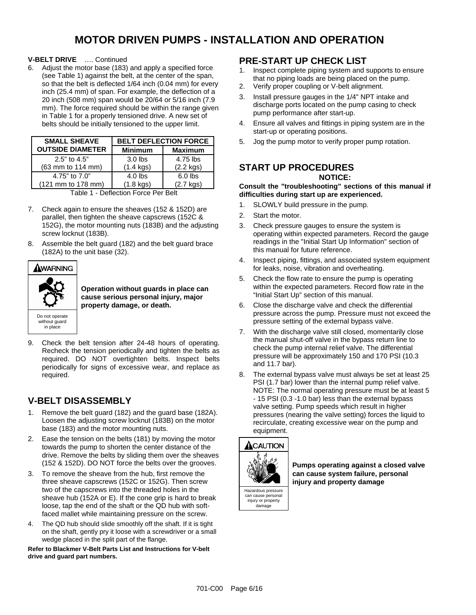## **MOTOR DRIVEN PUMPS - INSTALLATION AND OPERATION**

**V-BELT DRIVE** …. Continued

6. Adjust the motor base (183) and apply a specified force (see Table 1) against the belt, at the center of the span, so that the belt is deflected 1/64 inch (0.04 mm) for every inch (25.4 mm) of span. For example, the deflection of a 20 inch (508 mm) span would be 20/64 or 5/16 inch (7.9 mm). The force required should be within the range given in Table 1 for a properly tensioned drive. A new set of belts should be initially tensioned to the upper limit.

| <b>SMALL SHEAVE</b>     | <b>BELT DEFLECTION FORCE</b> |                     |
|-------------------------|------------------------------|---------------------|
| <b>OUTSIDE DIAMETER</b> | <b>Minimum</b>               | <b>Maximum</b>      |
| 2.5" to 4.5"            | $3.0$ lbs                    | 4.75 lbs            |
| (63 mm to 114 mm)       | $(1.4 \text{ kgs})$          | $(2.2 \text{ kgs})$ |
| 4.75" to 7.0"           | $4.0$ lbs                    | $6.0$ lbs           |
| (121 mm to 178 mm)      | $(1.8 \text{ kgs})$          | $(2.7$ kgs)         |

|  | Table 1 - Deflection Force Per Belt |  |  |
|--|-------------------------------------|--|--|
|--|-------------------------------------|--|--|

- 7. Check again to ensure the sheaves (152 & 152D) are parallel, then tighten the sheave capscrews (152C & 152G), the motor mounting nuts (183B) and the adjusting screw locknut (183B).
- 8. Assemble the belt guard (182) and the belt guard brace (182A) to the unit base (32).



**Operation without guards in place can cause serious personal injury, major property damage, or death.** 

9. Check the belt tension after 24-48 hours of operating. Recheck the tension periodically and tighten the belts as required. DO NOT overtighten belts. Inspect belts periodically for signs of excessive wear, and replace as required.

## **V-BELT DISASSEMBLY**

- 1. Remove the belt guard (182) and the guard base (182A). Loosen the adjusting screw locknut (183B) on the motor base (183) and the motor mounting nuts.
- 2. Ease the tension on the belts (181) by moving the motor towards the pump to shorten the center distance of the drive. Remove the belts by sliding them over the sheaves (152 & 152D). DO NOT force the belts over the grooves.
- 3. To remove the sheave from the hub, first remove the three sheave capscrews (152C or 152G). Then screw two of the capscrews into the threaded holes in the sheave hub (152A or E). If the cone grip is hard to break loose, tap the end of the shaft or the QD hub with softfaced mallet while maintaining pressure on the screw.
- 4. The QD hub should slide smoothly off the shaft. If it is tight on the shaft, gently pry it loose with a screwdriver or a small wedge placed in the split part of the flange.

**Refer to Blackmer V-Belt Parts List and Instructions for V-belt drive and guard part numbers.** 

## **PRE-START UP CHECK LIST**

- 1. Inspect complete piping system and supports to ensure that no piping loads are being placed on the pump.
- 2. Verify proper coupling or V-belt alignment.
- 3. Install pressure gauges in the 1/4" NPT intake and discharge ports located on the pump casing to check pump performance after start-up.
- 4. Ensure all valves and fittings in piping system are in the start-up or operating positions.
- 5. Jog the pump motor to verify proper pump rotation.

## **START UP PROCEDURES**

#### **NOTICE:**

#### **Consult the "troubleshooting" sections of this manual if difficulties during start up are experienced.**

- 1. SLOWLY build pressure in the pump.
- 2. Start the motor.
- 3. Check pressure gauges to ensure the system is operating within expected parameters. Record the gauge readings in the "Initial Start Up Information" section of this manual for future reference.
- 4. Inspect piping, fittings, and associated system equipment for leaks, noise, vibration and overheating.
- 5. Check the flow rate to ensure the pump is operating within the expected parameters. Record flow rate in the "Initial Start Up" section of this manual.
- 6. Close the discharge valve and check the differential pressure across the pump. Pressure must not exceed the pressure setting of the external bypass valve.
- 7. With the discharge valve still closed, momentarily close the manual shut-off valve in the bypass return line to check the pump internal relief valve. The differential pressure will be approximately 150 and 170 PSI (10.3 and 11.7 bar).
- 8. The external bypass valve must always be set at least 25 PSI (1.7 bar) lower than the internal pump relief valve. NOTE: The normal operating pressure must be at least 5 - 15 PSI (0.3 -1.0 bar) less than the external bypass valve setting. Pump speeds which result in higher pressures (nearing the valve setting) forces the liquid to recirculate, creating excessive wear on the pump and equipment.



**Pumps operating against a closed valve can cause system failure, personal injury and property damage** 

can cause personal injury or property damage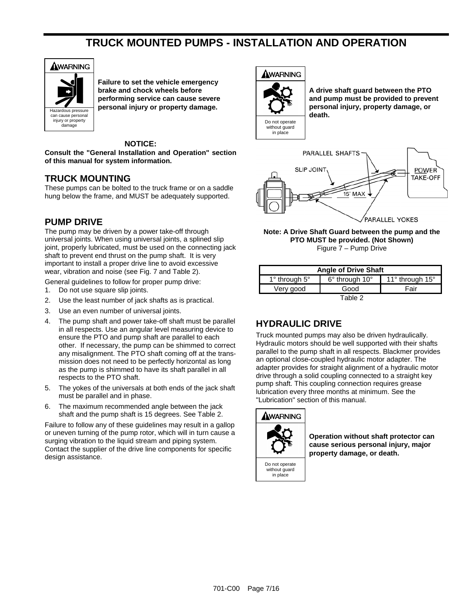## **TRUCK MOUNTED PUMPS - INSTALLATION AND OPERATION**



**Failure to set the vehicle emergency brake and chock wheels before performing service can cause severe personal injury or property damage.** 

#### **NOTICE:**

**Consult the "General Installation and Operation" section of this manual for system information.** 

### **TRUCK MOUNTING**

These pumps can be bolted to the truck frame or on a saddle hung below the frame, and MUST be adequately supported.

## **PUMP DRIVE**

The pump may be driven by a power take-off through universal joints. When using universal joints, a splined slip joint, properly lubricated, must be used on the connecting jack shaft to prevent end thrust on the pump shaft. It is very important to install a proper drive line to avoid excessive wear, vibration and noise (see Fig. 7 and Table 2).

General guidelines to follow for proper pump drive:

- 1. Do not use square slip joints.
- 2. Use the least number of jack shafts as is practical.
- 3. Use an even number of universal joints.
- 4. The pump shaft and power take-off shaft must be parallel in all respects. Use an angular level measuring device to ensure the PTO and pump shaft are parallel to each other. If necessary, the pump can be shimmed to correct any misalignment. The PTO shaft coming off at the transmission does not need to be perfectly horizontal as long as the pump is shimmed to have its shaft parallel in all respects to the PTO shaft.
- 5. The yokes of the universals at both ends of the jack shaft must be parallel and in phase.
- 6. The maximum recommended angle between the jack shaft and the pump shaft is 15 degrees. See Table 2.

Failure to follow any of these guidelines may result in a gallop or uneven turning of the pump rotor, which will in turn cause a surging vibration to the liquid stream and piping system. Contact the supplier of the drive line components for specific design assistance.





**A drive shaft guard between the PTO and pump must be provided to prevent personal injury, property damage, or death.** 



**Note: A Drive Shaft Guard between the pump and the PTO MUST be provided. (Not Shown)**  Figure 7 – Pump Drive

| <b>Angle of Drive Shaft</b> |                |                 |
|-----------------------------|----------------|-----------------|
| $1^\circ$ through $5^\circ$ | 6° through 10° | 11° through 15° |
| Very good                   | Good           | Fair            |
|                             | Table 2        |                 |

## **HYDRAULIC DRIVE**

Truck mounted pumps may also be driven hydraulically. Hydraulic motors should be well supported with their shafts parallel to the pump shaft in all respects. Blackmer provides an optional close-coupled hydraulic motor adapter. The adapter provides for straight alignment of a hydraulic motor drive through a solid coupling connected to a straight key pump shaft. This coupling connection requires grease lubrication every three months at minimum. See the "Lubrication" section of this manual.



without guard in place

**Operation without shaft protector can cause serious personal injury, major property damage, or death.**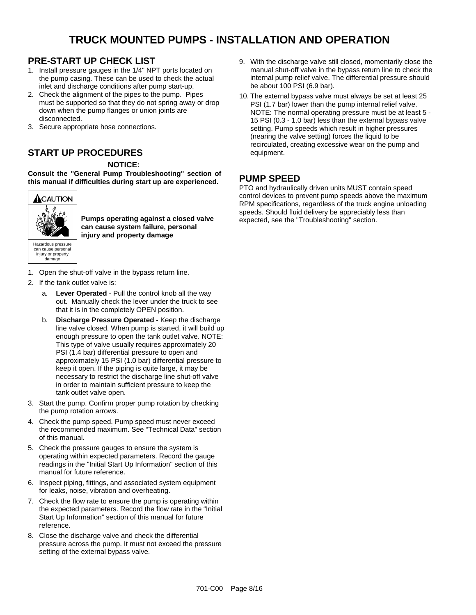## **TRUCK MOUNTED PUMPS - INSTALLATION AND OPERATION**

## **PRE-START UP CHECK LIST**

- 1. Install pressure gauges in the 1/4" NPT ports located on the pump casing. These can be used to check the actual inlet and discharge conditions after pump start-up.
- 2. Check the alignment of the pipes to the pump. Pipes must be supported so that they do not spring away or drop down when the pump flanges or union joints are disconnected.
- 3. Secure appropriate hose connections.

## **START UP PROCEDURES**

**NOTICE:** 

**Consult the "General Pump Troubleshooting" section of this manual if difficulties during start up are experienced.** 



injury or property damage

**Pumps operating against a closed valve can cause system failure, personal injury and property damage** 

- 1. Open the shut-off valve in the bypass return line.
- 2. If the tank outlet valve is:
	- a. **Lever Operated** Pull the control knob all the way out. Manually check the lever under the truck to see that it is in the completely OPEN position.
	- b. **Discharge Pressure Operated** Keep the discharge line valve closed. When pump is started, it will build up enough pressure to open the tank outlet valve. NOTE: This type of valve usually requires approximately 20 PSI (1.4 bar) differential pressure to open and approximately 15 PSI (1.0 bar) differential pressure to keep it open. If the piping is quite large, it may be necessary to restrict the discharge line shut-off valve in order to maintain sufficient pressure to keep the tank outlet valve open.
- 3. Start the pump. Confirm proper pump rotation by checking the pump rotation arrows.
- 4. Check the pump speed. Pump speed must never exceed the recommended maximum. See "Technical Data" section of this manual.
- 5. Check the pressure gauges to ensure the system is operating within expected parameters. Record the gauge readings in the "Initial Start Up Information" section of this manual for future reference.
- 6. Inspect piping, fittings, and associated system equipment for leaks, noise, vibration and overheating.
- 7. Check the flow rate to ensure the pump is operating within the expected parameters. Record the flow rate in the "Initial Start Up Information" section of this manual for future reference.
- 8. Close the discharge valve and check the differential pressure across the pump. It must not exceed the pressure setting of the external bypass valve.
- 9. With the discharge valve still closed, momentarily close the manual shut-off valve in the bypass return line to check the internal pump relief valve. The differential pressure should be about 100 PSI (6.9 bar).
- 10. The external bypass valve must always be set at least 25 PSI (1.7 bar) lower than the pump internal relief valve. NOTE: The normal operating pressure must be at least 5 - 15 PSI (0.3 - 1.0 bar) less than the external bypass valve setting. Pump speeds which result in higher pressures (nearing the valve setting) forces the liquid to be recirculated, creating excessive wear on the pump and equipment.

## **PUMP SPEED**

PTO and hydraulically driven units MUST contain speed control devices to prevent pump speeds above the maximum RPM specifications, regardless of the truck engine unloading speeds. Should fluid delivery be appreciably less than expected, see the "Troubleshooting" section.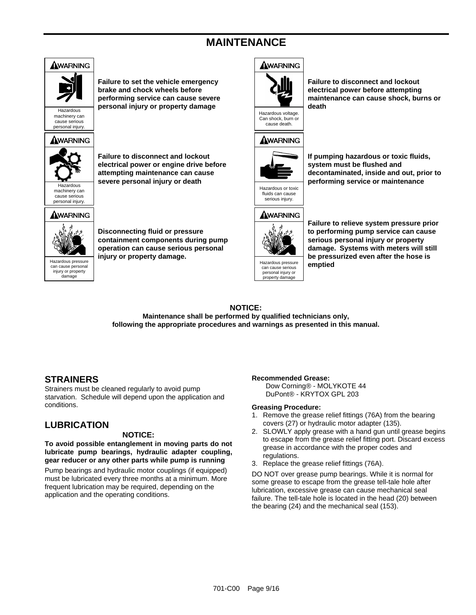## **MAINTENANCE**



### **NOTICE:**

**Maintenance shall be performed by qualified technicians only, following the appropriate procedures and warnings as presented in this manual.** 

## **STRAINERS**

Strainers must be cleaned regularly to avoid pump starvation. Schedule will depend upon the application and conditions.

## **LUBRICATION**

#### **NOTICE:**

**To avoid possible entanglement in moving parts do not lubricate pump bearings, hydraulic adapter coupling, gear reducer or any other parts while pump is running** 

Pump bearings and hydraulic motor couplings (if equipped) must be lubricated every three months at a minimum. More frequent lubrication may be required, depending on the application and the operating conditions.

#### **Recommended Grease:**

Dow Corning*® -* MOLYKOTE 44 DuPont*® -* KRYTOX GPL 203

#### **Greasing Procedure:**

- 1. Remove the grease relief fittings (76A) from the bearing covers (27) or hydraulic motor adapter (135).
- 2. SLOWLY apply grease with a hand gun until grease begins to escape from the grease relief fitting port. Discard excess grease in accordance with the proper codes and regulations.
- 3. Replace the grease relief fittings (76A).

DO NOT over grease pump bearings. While it is normal for some grease to escape from the grease tell-tale hole after lubrication, excessive grease can cause mechanical seal failure. The tell-tale hole is located in the head (20) between the bearing (24) and the mechanical seal (153).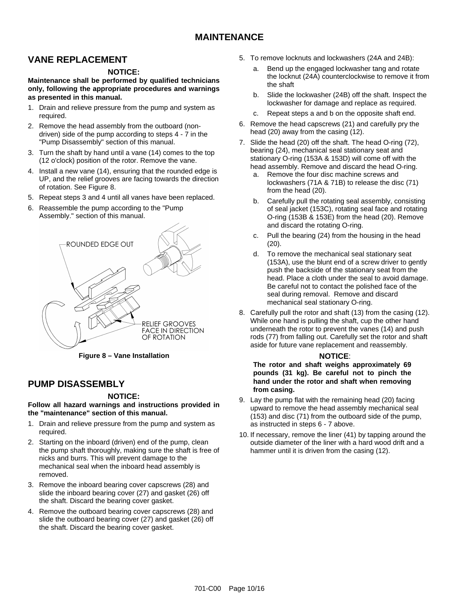## **MAINTENANCE**

## **VANE REPLACEMENT**

#### **NOTICE:**

**Maintenance shall be performed by qualified technicians only, following the appropriate procedures and warnings as presented in this manual.** 

- 1. Drain and relieve pressure from the pump and system as required.
- 2. Remove the head assembly from the outboard (nondriven) side of the pump according to steps 4 - 7 in the "Pump Disassembly" section of this manual.
- 3. Turn the shaft by hand until a vane (14) comes to the top (12 o'clock) position of the rotor. Remove the vane.
- 4. Install a new vane (14), ensuring that the rounded edge is UP, and the relief grooves are facing towards the direction of rotation. See Figure 8.
- 5. Repeat steps 3 and 4 until all vanes have been replaced.
- 6. Reassemble the pump according to the "Pump Assembly." section of this manual.



**Figure 8 – Vane Installation** 

### **PUMP DISASSEMBLY**

#### **NOTICE:**

**Follow all hazard warnings and instructions provided in the "maintenance" section of this manual.** 

- 1. Drain and relieve pressure from the pump and system as required.
- 2. Starting on the inboard (driven) end of the pump, clean the pump shaft thoroughly, making sure the shaft is free of nicks and burrs. This will prevent damage to the mechanical seal when the inboard head assembly is removed.
- 3. Remove the inboard bearing cover capscrews (28) and slide the inboard bearing cover (27) and gasket (26) off the shaft. Discard the bearing cover gasket.
- 4. Remove the outboard bearing cover capscrews (28) and slide the outboard bearing cover (27) and gasket (26) off the shaft. Discard the bearing cover gasket.
- 5. To remove locknuts and lockwashers (24A and 24B):
	- a. Bend up the engaged lockwasher tang and rotate the locknut (24A) counterclockwise to remove it from the shaft
	- b. Slide the lockwasher (24B) off the shaft. Inspect the lockwasher for damage and replace as required.
	- c. Repeat steps a and b on the opposite shaft end.
- 6. Remove the head capscrews (21) and carefully pry the head (20) away from the casing (12).
- 7. Slide the head (20) off the shaft. The head O-ring (72), bearing (24), mechanical seal stationary seat and stationary O-ring (153A & 153D) will come off with the head assembly. Remove and discard the head O-ring.
	- a. Remove the four disc machine screws and lockwashers (71A & 71B) to release the disc (71) from the head (20).
	- b. Carefully pull the rotating seal assembly, consisting of seal jacket (153C), rotating seal face and rotating O-ring (153B & 153E) from the head (20). Remove and discard the rotating O-ring.
	- c. Pull the bearing (24) from the housing in the head (20).
	- d. To remove the mechanical seal stationary seat (153A), use the blunt end of a screw driver to gently push the backside of the stationary seat from the head. Place a cloth under the seal to avoid damage. Be careful not to contact the polished face of the seal during removal. Remove and discard mechanical seal stationary O-ring.
- 8. Carefully pull the rotor and shaft (13) from the casing (12). While one hand is pulling the shaft, cup the other hand underneath the rotor to prevent the vanes (14) and push rods (77) from falling out. Carefully set the rotor and shaft aside for future vane replacement and reassembly.

#### **NOTICE**:

**The rotor and shaft weighs approximately 69 pounds (31 kg). Be careful not to pinch the hand under the rotor and shaft when removing from casing.** 

- 9. Lay the pump flat with the remaining head (20) facing upward to remove the head assembly mechanical seal (153) and disc (71) from the outboard side of the pump, as instructed in steps 6 - 7 above.
- 10. If necessary, remove the liner (41) by tapping around the outside diameter of the liner with a hard wood drift and a hammer until it is driven from the casing (12).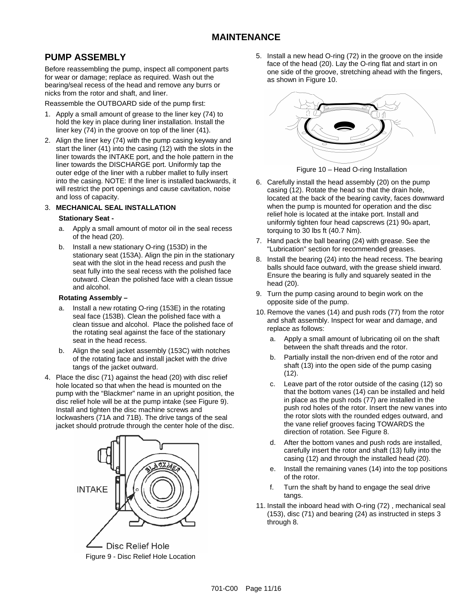## **PUMP ASSEMBLY**

Before reassembling the pump, inspect all component parts for wear or damage; replace as required. Wash out the bearing/seal recess of the head and remove any burrs or nicks from the rotor and shaft, and liner.

Reassemble the OUTBOARD side of the pump first:

- 1. Apply a small amount of grease to the liner key (74) to hold the key in place during liner installation. Install the liner key (74) in the groove on top of the liner (41).
- 2. Align the liner key (74) with the pump casing keyway and start the liner (41) into the casing (12) with the slots in the liner towards the INTAKE port, and the hole pattern in the liner towards the DISCHARGE port. Uniformly tap the outer edge of the liner with a rubber mallet to fully insert into the casing. NOTE: If the liner is installed backwards, it will restrict the port openings and cause cavitation, noise and loss of capacity.

#### 3. **MECHANICAL SEAL INSTALLATION**

#### **Stationary Seat -**

- a. Apply a small amount of motor oil in the seal recess of the head (20).
- b. Install a new stationary O-ring (153D) in the stationary seat (153A). Align the pin in the stationary seat with the slot in the head recess and push the seat fully into the seal recess with the polished face outward. Clean the polished face with a clean tissue and alcohol.

#### **Rotating Assembly –**

- a. Install a new rotating O-ring (153E) in the rotating seal face (153B). Clean the polished face with a clean tissue and alcohol. Place the polished face of the rotating seal against the face of the stationary seat in the head recess.
- b. Align the seal jacket assembly (153C) with notches of the rotating face and install jacket with the drive tangs of the jacket outward.
- 4. Place the disc (71) against the head (20) with disc relief hole located so that when the head is mounted on the pump with the "Blackmer" name in an upright position, the disc relief hole will be at the pump intake (see Figure 9). Install and tighten the disc machine screws and lockwashers (71A and 71B). The drive tangs of the seal jacket should protrude through the center hole of the disc.



Figure 9 - Disc Relief Hole Location

5. Install a new head O-ring (72) in the groove on the inside face of the head (20). Lay the O-ring flat and start in on one side of the groove, stretching ahead with the fingers, as shown in Figure 10.



Figure 10 – Head O-ring Installation

- 6. Carefully install the head assembly (20) on the pump casing (12). Rotate the head so that the drain hole, located at the back of the bearing cavity, faces downward when the pump is mounted for operation and the disc relief hole is located at the intake port. Install and uniformly tighten four head capscrews (21) 90o apart, torquing to 30 lbs ft (40.7 Nm).
- 7. Hand pack the ball bearing (24) with grease. See the "Lubrication" section for recommended greases.
- 8. Install the bearing (24) into the head recess. The bearing balls should face outward, with the grease shield inward. Ensure the bearing is fully and squarely seated in the head (20).
- 9. Turn the pump casing around to begin work on the opposite side of the pump.
- 10. Remove the vanes (14) and push rods (77) from the rotor and shaft assembly. Inspect for wear and damage, and replace as follows:
	- a. Apply a small amount of lubricating oil on the shaft between the shaft threads and the rotor.
	- b. Partially install the non-driven end of the rotor and shaft (13) into the open side of the pump casing (12).
	- c. Leave part of the rotor outside of the casing (12) so that the bottom vanes (14) can be installed and held in place as the push rods (77) are installed in the push rod holes of the rotor. Insert the new vanes into the rotor slots with the rounded edges outward, and the vane relief grooves facing TOWARDS the direction of rotation. See Figure 8.
	- d. After the bottom vanes and push rods are installed, carefully insert the rotor and shaft (13) fully into the casing (12) and through the installed head (20).
	- e. Install the remaining vanes (14) into the top positions of the rotor.
	- f. Turn the shaft by hand to engage the seal drive tangs.
- 11. Install the inboard head with O-ring (72) , mechanical seal (153), disc (71) and bearing (24) as instructed in steps 3 through 8.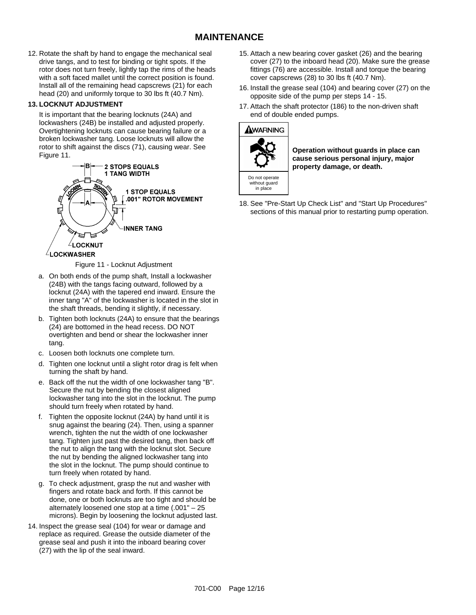## **MAINTENANCE**

12. Rotate the shaft by hand to engage the mechanical seal drive tangs, and to test for binding or tight spots. If the rotor does not turn freely, lightly tap the rims of the heads with a soft faced mallet until the correct position is found. Install all of the remaining head capscrews (21) for each head (20) and uniformly torque to 30 lbs ft (40.7 Nm).

#### **13. LOCKNUT ADJUSTMENT**

It is important that the bearing locknuts (24A) and lockwashers (24B) be installed and adjusted properly. Overtightening locknuts can cause bearing failure or a broken lockwasher tang. Loose locknuts will allow the rotor to shift against the discs (71), causing wear. See Figure 11.



Figure 11 - Locknut Adjustment

- a. On both ends of the pump shaft, Install a lockwasher (24B) with the tangs facing outward, followed by a locknut (24A) with the tapered end inward. Ensure the inner tang "A" of the lockwasher is located in the slot in the shaft threads, bending it slightly, if necessary.
- b. Tighten both locknuts (24A) to ensure that the bearings (24) are bottomed in the head recess. DO NOT overtighten and bend or shear the lockwasher inner tang.
- c. Loosen both locknuts one complete turn.
- d. Tighten one locknut until a slight rotor drag is felt when turning the shaft by hand.
- e. Back off the nut the width of one lockwasher tang "B". Secure the nut by bending the closest aligned lockwasher tang into the slot in the locknut. The pump should turn freely when rotated by hand.
- f. Tighten the opposite locknut (24A) by hand until it is snug against the bearing (24). Then, using a spanner wrench, tighten the nut the width of one lockwasher tang. Tighten just past the desired tang, then back off the nut to align the tang with the locknut slot. Secure the nut by bending the aligned lockwasher tang into the slot in the locknut. The pump should continue to turn freely when rotated by hand.
- g. To check adjustment, grasp the nut and washer with fingers and rotate back and forth. If this cannot be done, one or both locknuts are too tight and should be alternately loosened one stop at a time (.001" – 25 microns). Begin by loosening the locknut adjusted last.
- 14. Inspect the grease seal (104) for wear or damage and replace as required. Grease the outside diameter of the grease seal and push it into the inboard bearing cover (27) with the lip of the seal inward.
- 15. Attach a new bearing cover gasket (26) and the bearing cover (27) to the inboard head (20). Make sure the grease fittings (76) are accessible. Install and torque the bearing cover capscrews (28) to 30 lbs ft (40.7 Nm).
- 16. Install the grease seal (104) and bearing cover (27) on the opposite side of the pump per steps 14 - 15.
- 17. Attach the shaft protector (186) to the non-driven shaft end of double ended pumps.

### AWARNING



**Operation without guards in place can cause serious personal injury, major property damage, or death.** 

18. See "Pre-Start Up Check List" and "Start Up Procedures" sections of this manual prior to restarting pump operation.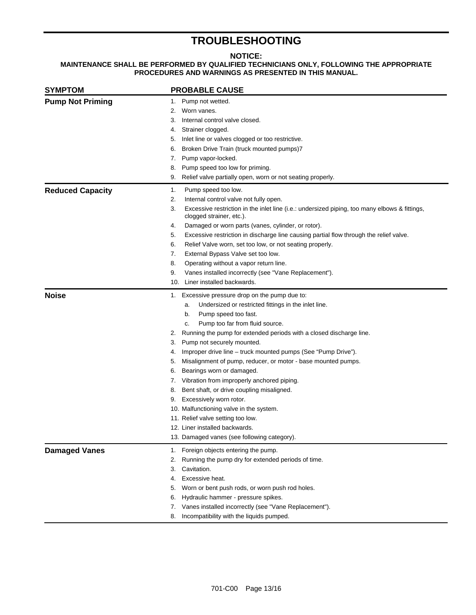## **TROUBLESHOOTING**

#### **NOTICE:**

### **MAINTENANCE SHALL BE PERFORMED BY QUALIFIED TECHNICIANS ONLY, FOLLOWING THE APPROPRIATE PROCEDURES AND WARNINGS AS PRESENTED IN THIS MANUAL.**

| <b>SYMPTOM</b>          | <b>PROBABLE CAUSE</b>                                                                                                           |
|-------------------------|---------------------------------------------------------------------------------------------------------------------------------|
| <b>Pump Not Priming</b> | 1. Pump not wetted.                                                                                                             |
|                         | Worn vanes.<br>2.                                                                                                               |
|                         | Internal control valve closed.<br>3.                                                                                            |
|                         | Strainer clogged.<br>4.                                                                                                         |
|                         | Inlet line or valves clogged or too restrictive.<br>5.                                                                          |
|                         | Broken Drive Train (truck mounted pumps)7<br>6.                                                                                 |
|                         | Pump vapor-locked.<br>7.                                                                                                        |
|                         | Pump speed too low for priming.<br>8.                                                                                           |
|                         | 9.<br>Relief valve partially open, worn or not seating properly.                                                                |
| <b>Reduced Capacity</b> | Pump speed too low.<br>1.                                                                                                       |
|                         | 2.<br>Internal control valve not fully open.                                                                                    |
|                         | 3.<br>Excessive restriction in the inlet line (i.e.: undersized piping, too many elbows & fittings,<br>clogged strainer, etc.). |
|                         | Damaged or worn parts (vanes, cylinder, or rotor).<br>4.                                                                        |
|                         | Excessive restriction in discharge line causing partial flow through the relief valve.<br>5.                                    |
|                         | Relief Valve worn, set too low, or not seating properly.<br>6.                                                                  |
|                         | 7.<br>External Bypass Valve set too low.                                                                                        |
|                         | 8.<br>Operating without a vapor return line.                                                                                    |
|                         | Vanes installed incorrectly (see "Vane Replacement").<br>9.                                                                     |
|                         | 10. Liner installed backwards.                                                                                                  |
| <b>Noise</b>            | 1. Excessive pressure drop on the pump due to:                                                                                  |
|                         | Undersized or restricted fittings in the inlet line.<br>a.                                                                      |
|                         | Pump speed too fast.<br>b.                                                                                                      |
|                         | Pump too far from fluid source.<br>c.                                                                                           |
|                         | Running the pump for extended periods with a closed discharge line.<br>2.                                                       |
|                         | Pump not securely mounted.<br>3.                                                                                                |
|                         | Improper drive line - truck mounted pumps (See "Pump Drive").<br>4.                                                             |
|                         | Misalignment of pump, reducer, or motor - base mounted pumps.<br>5.                                                             |
|                         | Bearings worn or damaged.<br>6.                                                                                                 |
|                         | Vibration from improperly anchored piping.<br>7.                                                                                |
|                         | Bent shaft, or drive coupling misaligned.<br>8.                                                                                 |
|                         | Excessively worn rotor.<br>9.                                                                                                   |
|                         | 10. Malfunctioning valve in the system.                                                                                         |
|                         | 11. Relief valve setting too low.                                                                                               |
|                         | 12. Liner installed backwards.                                                                                                  |
|                         | 13. Damaged vanes (see following category).                                                                                     |
| <b>Damaged Vanes</b>    | Foreign objects entering the pump.<br>1.                                                                                        |
|                         | Running the pump dry for extended periods of time.<br>2.                                                                        |
|                         | Cavitation.<br>3.                                                                                                               |
|                         | Excessive heat.<br>4.                                                                                                           |
|                         | Worn or bent push rods, or worn push rod holes.<br>5.                                                                           |
|                         | Hydraulic hammer - pressure spikes.<br>6.                                                                                       |
|                         | Vanes installed incorrectly (see "Vane Replacement").<br>7.                                                                     |
|                         | Incompatibility with the liquids pumped.<br>8.                                                                                  |
|                         |                                                                                                                                 |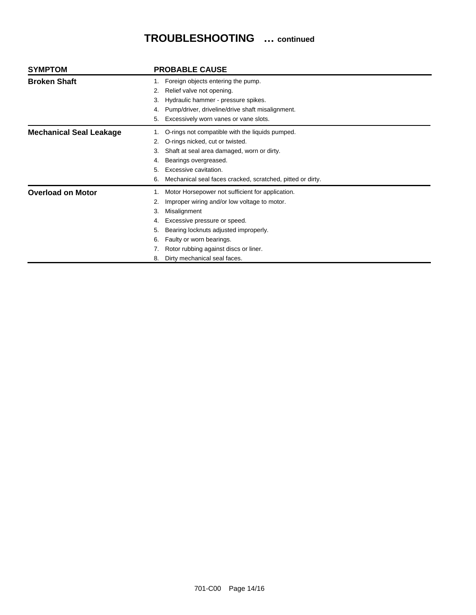# **TROUBLESHOOTING … continued**

| <b>SYMPTOM</b>                 | <b>PROBABLE CAUSE</b>                                                                                                                                                                                                                                                                                                              |
|--------------------------------|------------------------------------------------------------------------------------------------------------------------------------------------------------------------------------------------------------------------------------------------------------------------------------------------------------------------------------|
| <b>Broken Shaft</b>            | Foreign objects entering the pump.<br>Relief valve not opening.<br>2.<br>Hydraulic hammer - pressure spikes.<br>3.<br>Pump/driver, driveline/drive shaft misalignment.<br>4.<br>Excessively worn vanes or vane slots.<br>5.                                                                                                        |
| <b>Mechanical Seal Leakage</b> | O-rings not compatible with the liquids pumped.<br>O-rings nicked, cut or twisted.<br>2.<br>Shaft at seal area damaged, worn or dirty.<br>3.<br>Bearings overgreased.<br>4.<br>Excessive cavitation.<br>5.<br>Mechanical seal faces cracked, scratched, pitted or dirty.<br>6.                                                     |
| <b>Overload on Motor</b>       | Motor Horsepower not sufficient for application.<br>Improper wiring and/or low voltage to motor.<br>2.<br>Misalignment<br>3.<br>Excessive pressure or speed.<br>4.<br>Bearing locknuts adjusted improperly.<br>5.<br>Faulty or worn bearings.<br>6.<br>Rotor rubbing against discs or liner.<br>Dirty mechanical seal faces.<br>8. |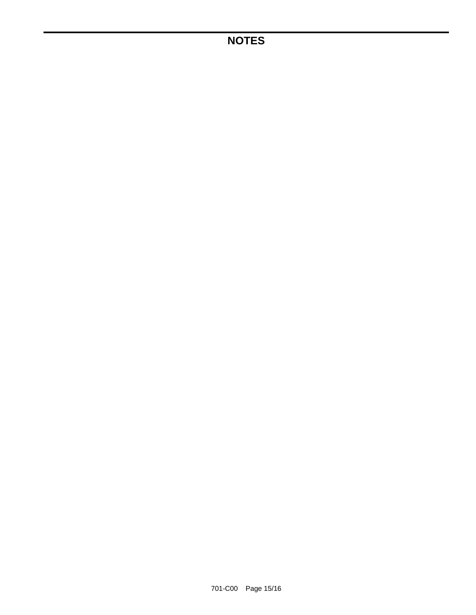## **NOTES**